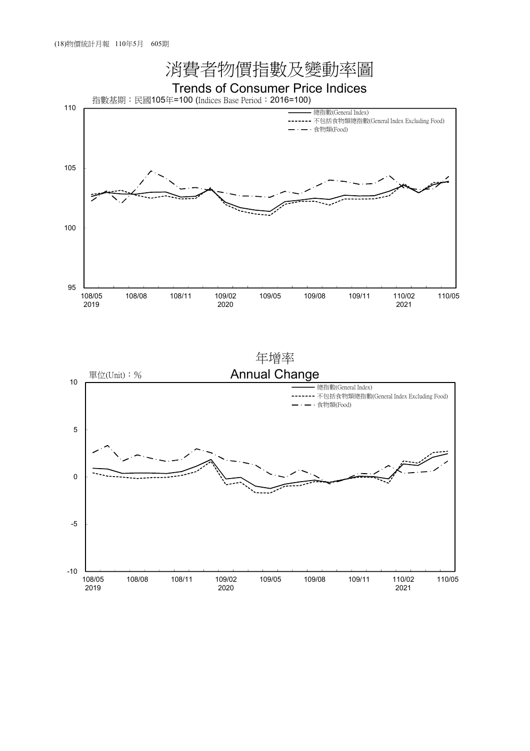

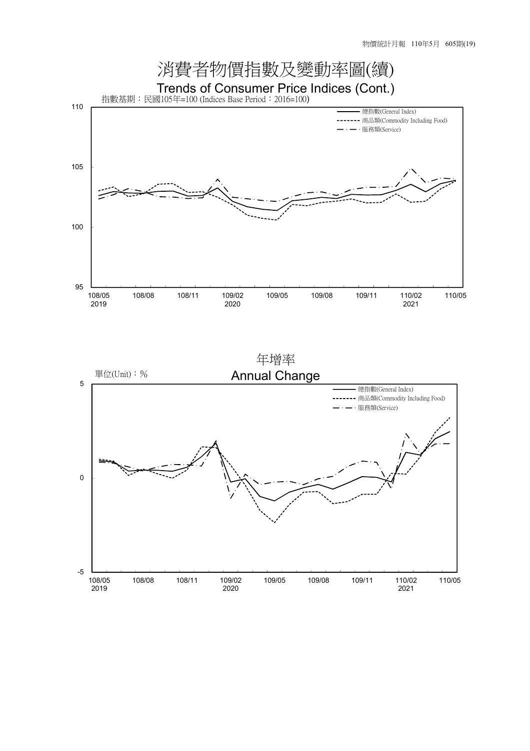